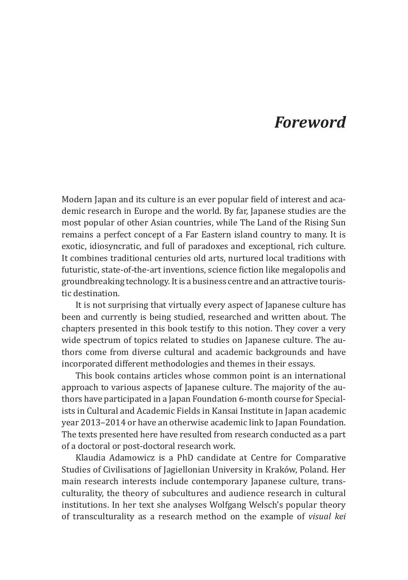## *Foreword*

Modern Japan and its culture is an ever popular field of interest and academic research in Europe and the world. By far, Japanese studies are the most popular of other Asian countries, while The Land of the Rising Sun remains a perfect concept of a Far Eastern island country to many. It is exotic, idiosyncratic, and full of paradoxes and exceptional, rich culture. It combines traditional centuries old arts, nurtured local traditions with futuristic, state-of-the-art inventions, science fiction like megalopolis and groundbreaking technology. It is a business centre and an attractive touristic destination.

It is not surprising that virtually every aspect of Japanese culture has been and currently is being studied, researched and written about. The chapters presented in this book testify to this notion. They cover a very wide spectrum of topics related to studies on Japanese culture. The authors come from diverse cultural and academic backgrounds and have incorporated different methodologies and themes in their essays.

This book contains articles whose common point is an international approach to various aspects of Japanese culture. The majority of the authors have participated in a Japan Foundation 6-month course for Specialists in Cultural and Academic Fields in Kansai Institute in Japan academic year 2013–2014 or have an otherwise academic link to Japan Foundation. The texts presented here have resulted from research conducted as a part of a doctoral or post-doctoral research work.

Klaudia Adamowicz is a PhD candidate at Centre for Comparative Studies of Civilisations of Jagiellonian University in Kraków, Poland. Her main research interests include contemporary Japanese culture, transculturality, the theory of subcultures and audience research in cultural institutions. In her text she analyses Wolfgang Welsch's popular theory of transculturality as a research method on the example of *visual kei*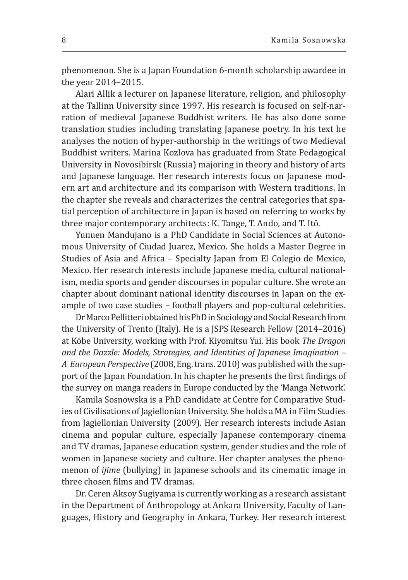phenomenon. She is a Japan Foundation 6-month scholarship awardee in the year 2014–2015.

Alari Allik a lecturer on Japanese literature, religion, and philosophy at the Tallinn University since 1997. His research is focused on self-narration of medieval Japanese Buddhist writers. He has also done some translation studies including translating Japanese poetry. In his text he analyses the notion of hyper-authorship in the writings of two Medieval Buddhist writers. Marina Kozlova has graduated from State Pedagogical University in Novosibirsk (Russia) majoring in theory and history of arts and Japanese language. Her research interests focus on Japanese modern art and architecture and its comparison with Western traditions. In the chapter she reveals and characterizes the central categories that spatial perception of architecture in Japan is based on referring to works by three major contemporary architects: K. Tange, T. Ando, and T. Itō.

Yunuen Mandujano is a PhD Candidate in Social Sciences at Autonomous University of Ciudad Juarez, Mexico. She holds a Master Degree in Studies of Asia and Africa – Specialty Japan from El Colegio de Mexico, Mexico. Her research interests include Japanese media, cultural nationalism, media sports and gender discourses in popular culture. She wrote an chapter about dominant national identity discourses in Japan on the example of two case studies – football players and pop-cultural celebrities.

Dr Marco Pellitteri obtained his PhD in Sociology and Social Research from the University of Trento (Italy). He is a JSPS Research Fellow (2014*–*2016) at Kōbe University, working with Prof. Kiyomitsu Yui. His book *The Dragon and the Dazzle: Models, Strategies, and Identities of Japanese Imagination – A European Perspective* (2008, Eng. trans. 2010) was published with the support of the Japan Foundation. In his chapter he presents the first findings of the survey on manga readers in Europe conducted by the 'Manga Network'.

Kamila Sosnowska is a PhD candidate at Centre for Comparative Studies of Civilisations of Jagiellonian University. She holds a MA in Film Studies from Jagiellonian University (2009). Her research interests include Asian cinema and popular culture, especially Japanese contemporary cinema and TV dramas, Japanese education system, gender studies and the role of women in Japanese society and culture. Her chapter analyses the phenomenon of *ijime* (bullying) in Japanese schools and its cinematic image in three chosen films and TV dramas.

Dr. Ceren Aksoy Sugiyama is currently working as a research assistant in the Department of Anthropology at Ankara University, Faculty of Languages, History and Geography in Ankara, Turkey. Her research interest